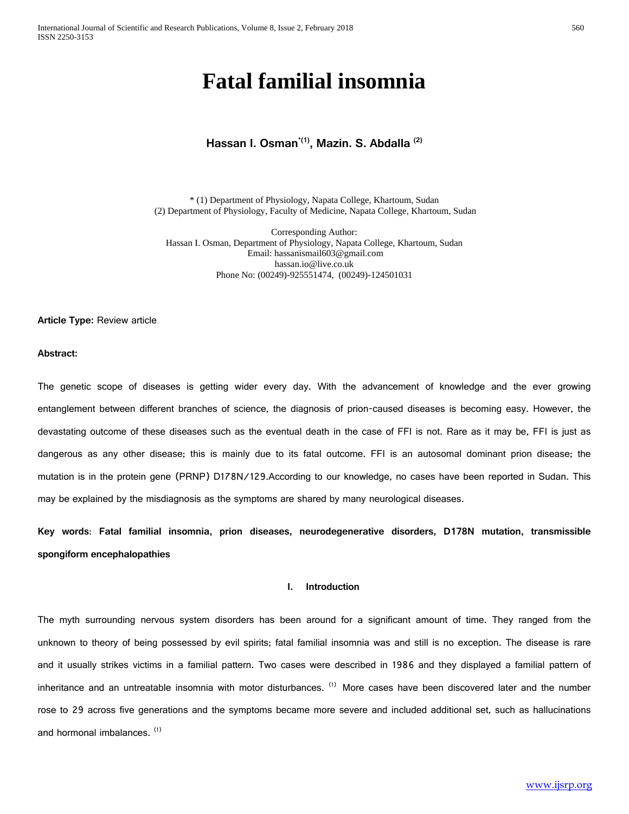# **Fatal familial insomnia**

# **Hassan I. Osman\*(1) , Mazin. S. Abdalla (2)**

\* (1) Department of Physiology, Napata College, Khartoum, Sudan (2) Department of Physiology, Faculty of Medicine, Napata College, Khartoum, Sudan

Corresponding Author: Hassan I. Osman, Department of Physiology, Napata College, Khartoum, Sudan Email: [hassanismail603@gmail.com](mailto:hassanismail603@gmail.com) [hassan.io@live.co.uk](mailto:hassan.io@live.co.uk) Phone No: (00249)-925551474, (00249)-124501031

**Article Type:** Review article

#### **Abstract:**

The genetic scope of diseases is getting wider every day. With the advancement of knowledge and the ever growing entanglement between different branches of science, the diagnosis of prion-caused diseases is becoming easy. However, the devastating outcome of these diseases such as the eventual death in the case of FFI is not. Rare as it may be, FFI is just as dangerous as any other disease; this is mainly due to its fatal outcome. FFI is an autosomal dominant prion disease; the mutation is in the protein gene (PRNP) D178N/129.According to our knowledge, no cases have been reported in Sudan. This may be explained by the misdiagnosis as the symptoms are shared by many neurological diseases.

**Key words**: **Fatal familial insomnia, prion diseases, neurodegenerative disorders, D178N mutation, transmissible spongiform encephalopathies**

## **I. Introduction**

The myth surrounding nervous system disorders has been around for a significant amount of time. They ranged from the unknown to theory of being possessed by evil spirits; fatal familial insomnia was and still is no exception. The disease is rare and it usually strikes victims in a familial pattern. Two cases were described in 1986 and they displayed a familial pattern of inheritance and an untreatable insomnia with motor disturbances. <sup>(1)</sup> More cases have been discovered later and the number rose to 29 across five generations and the symptoms became more severe and included additional set, such as hallucinations and hormonal imbalances.  $(1)$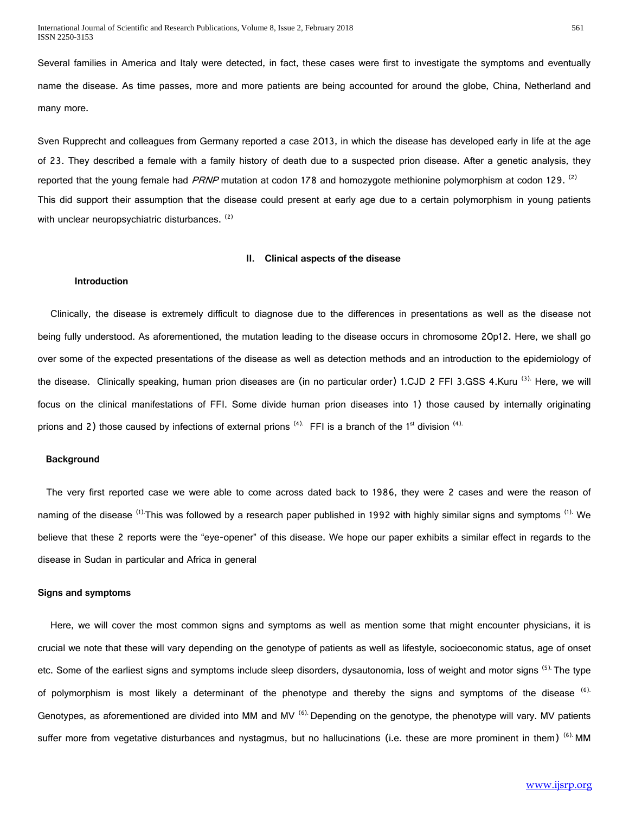Several families in America and Italy were detected, in fact, these cases were first to investigate the symptoms and eventually name the disease. As time passes, more and more patients are being accounted for around the globe, China, Netherland and many more.

Sven Rupprecht and colleagues from Germany reported a case 2013, in which the disease has developed early in life at the age of 23. They described a female with a family history of death due to a suspected prion disease. After a genetic analysis, they reported that the young female had PRNP mutation at codon 178 and homozygote methionine polymorphism at codon 129. <sup>(2)</sup> This did support their assumption that the disease could present at early age due to a certain polymorphism in young patients with unclear neuropsychiatric disturbances. (2)

#### **II. Clinical aspects of the disease**

#### **Introduction**

 Clinically, the disease is extremely difficult to diagnose due to the differences in presentations as well as the disease not being fully understood. As aforementioned, the mutation leading to the disease occurs in chromosome 20p12. Here, we shall go over some of the expected presentations of the disease as well as detection methods and an introduction to the epidemiology of the disease. Clinically speaking, human prion diseases are (in no particular order) 1.CJD 2 FFI 3.GSS 4.Kuru <sup>(3).</sup> Here, we will focus on the clinical manifestations of FFI. Some divide human prion diseases into 1) those caused by internally originating prions and 2) those caused by infections of external prions  $(4)$ . FFI is a branch of the 1<sup>st</sup> division  $(4)$ .

#### **Background**

The very first reported case we were able to come across dated back to 1986, they were 2 cases and were the reason of naming of the disease <sup>(1).</sup>This was followed by a research paper published in 1992 with highly similar signs and symptoms <sup>(1).</sup> We believe that these 2 reports were the "eye-opener" of this disease. We hope our paper exhibits a similar effect in regards to the disease in Sudan in particular and Africa in general

#### **Signs and symptoms**

 Here, we will cover the most common signs and symptoms as well as mention some that might encounter physicians, it is crucial we note that these will vary depending on the genotype of patients as well as lifestyle, socioeconomic status, age of onset etc. Some of the earliest signs and symptoms include sleep disorders, dysautonomia, loss of weight and motor signs <sup>(5).</sup> The type of polymorphism is most likely a determinant of the phenotype and thereby the signs and symptoms of the disease  $(6)$ . Genotypes, as aforementioned are divided into MM and MV  $^{(6)}$ . Depending on the genotype, the phenotype will vary. MV patients suffer more from vegetative disturbances and nystagmus, but no hallucinations (i.e. these are more prominent in them) <sup>(6).</sup> MM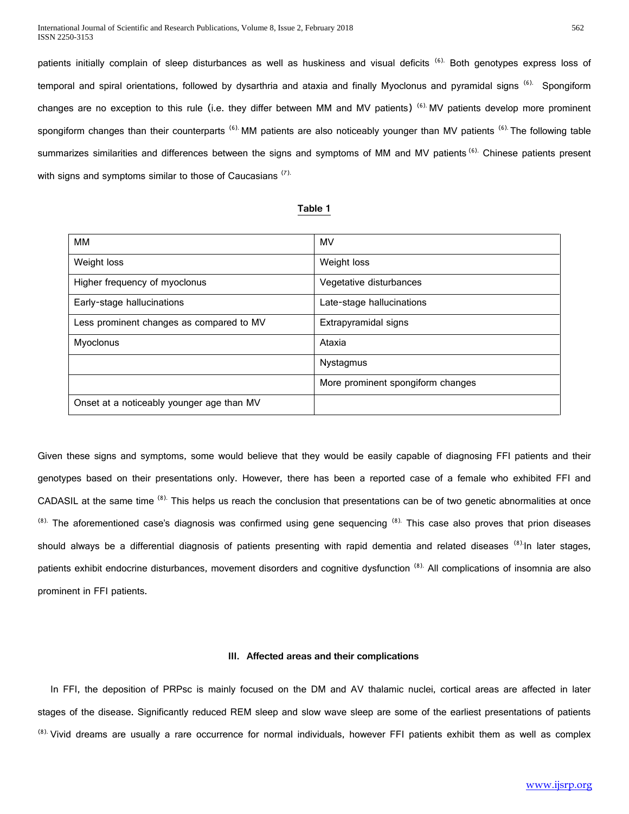patients initially complain of sleep disturbances as well as huskiness and visual deficits <sup>(6).</sup> Both genotypes express loss of temporal and spiral orientations, followed by dysarthria and ataxia and finally Myoclonus and pyramidal signs <sup>(6).</sup> Spongiform changes are no exception to this rule (i.e. they differ between MM and MV patients)  $^{(6)}$  MV patients develop more prominent spongiform changes than their counterparts <sup>(6).</sup> MM patients are also noticeably younger than MV patients <sup>(6).</sup> The following table summarizes similarities and differences between the signs and symptoms of MM and MV patients <sup>(6).</sup> Chinese patients present with signs and symptoms similar to those of Caucasians<sup>(7).</sup>

#### **Table 1**

| MМ                                        | <b>MV</b>                         |
|-------------------------------------------|-----------------------------------|
| Weight loss                               | Weight loss                       |
| Higher frequency of myoclonus             | Vegetative disturbances           |
| Early-stage hallucinations                | Late-stage hallucinations         |
| Less prominent changes as compared to MV  | Extrapyramidal signs              |
| Myoclonus                                 | Ataxia                            |
|                                           | Nystagmus                         |
|                                           | More prominent spongiform changes |
| Onset at a noticeably younger age than MV |                                   |

Given these signs and symptoms, some would believe that they would be easily capable of diagnosing FFI patients and their genotypes based on their presentations only. However, there has been a reported case of a female who exhibited FFI and CADASIL at the same time <sup>(8).</sup> This helps us reach the conclusion that presentations can be of two genetic abnormalities at once  $^{(8)}$ . The aforementioned case's diagnosis was confirmed using gene sequencing  $^{(8)}$ . This case also proves that prion diseases should always be a differential diagnosis of patients presenting with rapid dementia and related diseases (8)-In later stages, patients exhibit endocrine disturbances, movement disorders and cognitive dysfunction <sup>(8).</sup> All complications of insomnia are also prominent in FFI patients.

#### **III. Affected areas and their complications**

 In FFI, the deposition of PRPsc is mainly focused on the DM and AV thalamic nuclei, cortical areas are affected in later stages of the disease. Significantly reduced REM sleep and slow wave sleep are some of the earliest presentations of patients <sup>(8).</sup> Vivid dreams are usually a rare occurrence for normal individuals, however FFI patients exhibit them as well as complex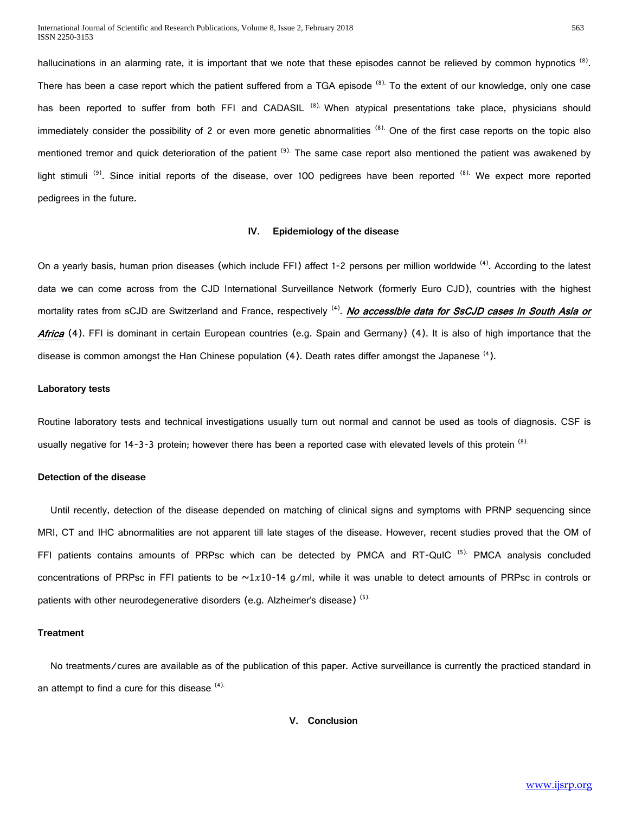hallucinations in an alarming rate, it is important that we note that these episodes cannot be relieved by common hypnotics <sup>(8)</sup>. There has been a case report which the patient suffered from a TGA episode <sup>(8).</sup> To the extent of our knowledge, only one case has been reported to suffer from both FFI and CADASIL <sup>(8).</sup> When atypical presentations take place, physicians should immediately consider the possibility of 2 or even more genetic abnormalities (8). One of the first case reports on the topic also mentioned tremor and quick deterioration of the patient <sup>(9).</sup> The same case report also mentioned the patient was awakened by light stimuli<sup>(9)</sup>. Since initial reports of the disease, over 100 pedigrees have been reported<sup>(8).</sup> We expect more reported pedigrees in the future.

### **IV. Epidemiology of the disease**

On a yearly basis, human prion diseases (which include FFI) affect 1-2 persons per million worldwide <sup>(4)</sup>. According to the latest data we can come across from the CJD International Surveillance Network (formerly Euro CJD), countries with the highest mortality rates from sCJD are Switzerland and France, respectively <sup>(4)</sup>. No accessible data for SsCJD cases in South Asia or Africa (4). FFI is dominant in certain European countries (e.g. Spain and Germany) (4). It is also of high importance that the disease is common amongst the Han Chinese population (4). Death rates differ amongst the Japanese <sup>(4</sup>).

#### **Laboratory tests**

Routine laboratory tests and technical investigations usually turn out normal and cannot be used as tools of diagnosis. CSF is usually negative for 14-3-3 protein; however there has been a reported case with elevated levels of this protein  $(8)$ .

#### **Detection of the disease**

 Until recently, detection of the disease depended on matching of clinical signs and symptoms with PRNP sequencing since MRI, CT and IHC abnormalities are not apparent till late stages of the disease. However, recent studies proved that the OM of FFI patients contains amounts of PRPsc which can be detected by PMCA and RT-QuIC<sup>(5).</sup> PMCA analysis concluded concentrations of PRPsc in FFI patients to be  $\sim 1x10-14$  g/ml, while it was unable to detect amounts of PRPsc in controls or patients with other neurodegenerative disorders (e.g. Alzheimer's disease)<sup>(5).</sup>

#### **Treatment**

 No treatments/cures are available as of the publication of this paper. Active surveillance is currently the practiced standard in an attempt to find a cure for this disease  $(4)$ .

#### **V. Conclusion**